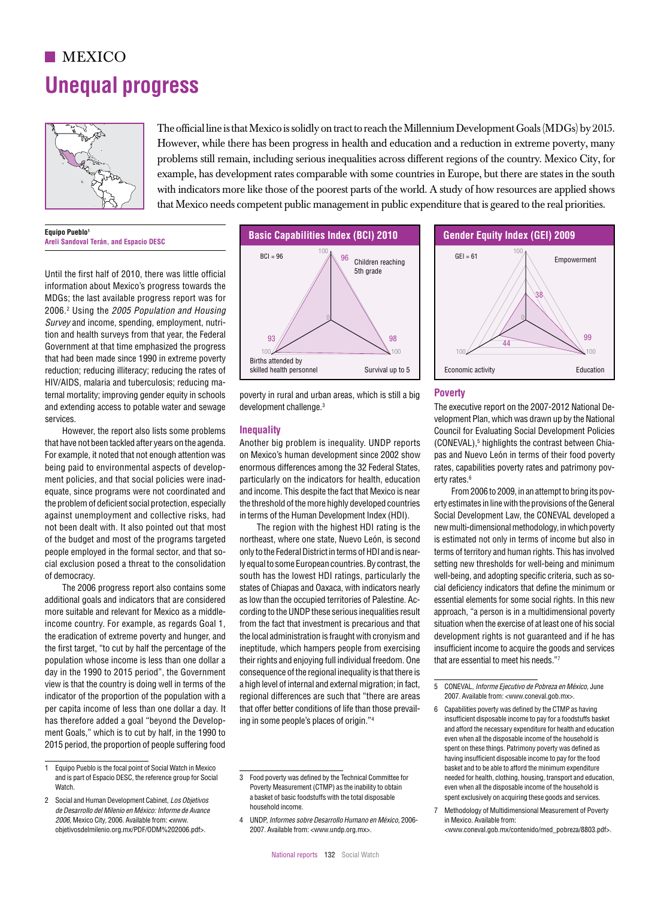## $MEXICO$ **Unequal progress**



The official line is that Mexico is solidly on tract to reach the Millennium Development Goals (MDGs) by 2015. However, while there has been progress in health and education and a reduction in extreme poverty, many problems still remain, including serious inequalities across different regions of the country. Mexico City, for example, has development rates comparable with some countries in Europe, but there are states in the south with indicators more like those of the poorest parts of the world. A study of how resources are applied shows that Mexico needs competent public management in public expenditure that is geared to the real priorities.  $\mathbb{R}^3$ IEG of Germany = 78 IEG of Ghana = 58 IEG of Hungary = 70 IEG of India = 41 IEG of Indonesia = 55

> **Equino Pueblo Areli Sandoval Terán, and Espacio DESC**

Until the first half of 2010, there was little official information about Mexico's progress towards the MDGs; the last available progress report was for 2006.2 Using the *2005 Population and Housing*  Survey and income, spending, employment, nutrition and health surveys from that year, the Federal Government at that time emphasized the progress 100 100 50 that had been made since 1990 in extreme poverty reduction; reducing illiteracy; reducing the rates of HIV/AIDS, malaria and tuberculosis; reducing ma-<br>. ternal mortality; improving gender equity in schools and extending access to potable water and sewage services.  $B^{\text{total}}$  or  $B^{\text{total}}$  improving gender equity in schools and paraguay and urban areas which is still a big  $B^{\text{opt}}$ 

 $\overline{\phantom{0}}$ 

However, the report also lists some problems that have not been tackled after years on the agenda. For example, it noted that not enough attention was 100 being paid to environmental aspects of development policies, and that social policies were inadequate, since programs were not coordinated and the problem of deficient social protection, especially 43 against unemployment and collective risks, had not been dealt with. It also pointed out that most of the budget and most of the programs targeted people employed in the formal sector, and that so-82 pospio omployed in the formal sessel, and that so of democracy.

The 2006 progress report also contains some additional goals and indicators that are considered as low than the occupied territories calculational goals and indicators that are considered as low than the occupied territories of more suitable and relevant for Mexico as a middleincome country. For example, as regards Goal 1, the eradication of extreme poverty and hunger, and the first target, "to cut by half the percentage of the population whose income is less than one dollar a day in the 1990 to 2015 period", the Government view is that the country is doing well in terms of the indicator of the proportion of the population with a per capita income of less than one dollar a day. It has therefore added a goal "beyond the Development Goals," which is to cut by half, in the 1990 to 0 2015 period, the proportion of people suffering food



poverty in rural and urban areas, which is still a big development challenge.<sup>3</sup>

## **Inequality**

Another big problem is inequality. UNDP reports on Mexico's human development since 2002 show enormous differences among the 32 Federal States, particularly on the indicators for health, education and income. This despite the fact that Mexico is near the threshold of the more highly developed countries in terms of the Human Development Index (HDI).

The region with the highest HDI rating is the northeast, where one state, Nuevo León, is second only to the Federal District in terms of HDI and is near-89 biny to the redship Bretherm terms of the rand is near.<br>Iy equal to some European countries. By contrast, the south has the lowest HDI ratings, particularly the states of Chiapas and Oaxaca, with indicators nearly as low than the occupied territories of Palestine. According to the UNDP these serious inequalities result from the fact that investment is precarious and that the local administration is fraught with cronyism and ineptitude, which hampers people from exercising their rights and enjoying full individual freedom. One 100 consequence of the regional inequality is that there is a high level of internal and external migration; in fact, regional differences are such that "there are areas that offer better conditions of life than those prevailing in some people's places of origin."4



## **Poverty**

The executive report on the 2007-2012 National Development Plan, which was drawn up by the National Council for Evaluating Social Development Policies (CONEVAL),5 highlights the contrast between Chiapas and Nuevo León in terms of their food poverty rates, capabilities poverty rates and patrimony poverty rates.<sup>6</sup>

From 2006 to 2009, in an attempt to bring its poverty estimates in line with the provisions of the General Social Development Law, the CONEVAL developed a new multi-dimensional methodology, in which poverty is estimated not only in terms of income but also in terms of territory and human rights. This has involved setting new thresholds for well-being and minimum well-being, and adopting specific criteria, such as social deficiency indicators that define the minimum or essential elements for some social rights. In this new approach, "a person is in a multidimensional poverty situation when the exercise of at least one of his social development rights is not guaranteed and if he has insufficient income to acquire the goods and services that are essential to meet his needs."7 ...

7 Methodology of Multidimensional Measurement of Poverty in Mexico. Available from:

<www.coneval.gob.mx/contenido/med\_pobreza/8803.pdf>.

<sup>1</sup> Equipo Pueblo is the focal point of Social Watch in Mexico and is part of Espacio DESC, the reference group for Social **Watch** 

<sup>2</sup> Social and Human Development Cabinet, *Los Objetivos de Desarrollo del Milenio en México: Informe de Avance 2006,* Mexico City, 2006. Available from: **<**www. objetivosdelmilenio.org.mx/PDF/ODM%202006.pdf>.

<sup>3</sup> Food poverty was defined by the Technical Committee for Poverty Measurement (CTMP) as the inability to obtain a basket of basic foodstuffs with the total disposable household income.

<sup>4</sup> UNDP, *Informes sobre Desarrollo Humano en México,* 2006- 2007. Available from: <www.undp.org.mx>.

<sup>5</sup> CONEVAL, *Informe Ejecutivo de Pobreza en México,* June 2007. Available from: <www.coneval.gob.mx>. 51

<sup>6</sup> Capabilities poverty was defined by the CTMP as having insufficient disposable income to pay for a foodstuffs basket and afford the necessary expenditure for health and education 0 even when all the disposable income of the household is spent on these things. Patrimony poverty was defined as spent on these things. Fathmony poverty was defined as<br>having insufficient disposable income to pay for the food basket and to be able to afford the minimum expenditure needed for health, clothing, housing, transport and education, even when all the disposable income of the household is spent exclusively on acquiring these goods and services. ely on acquiring these goods and services.<br>of Multidimensional Measurement of Poverty